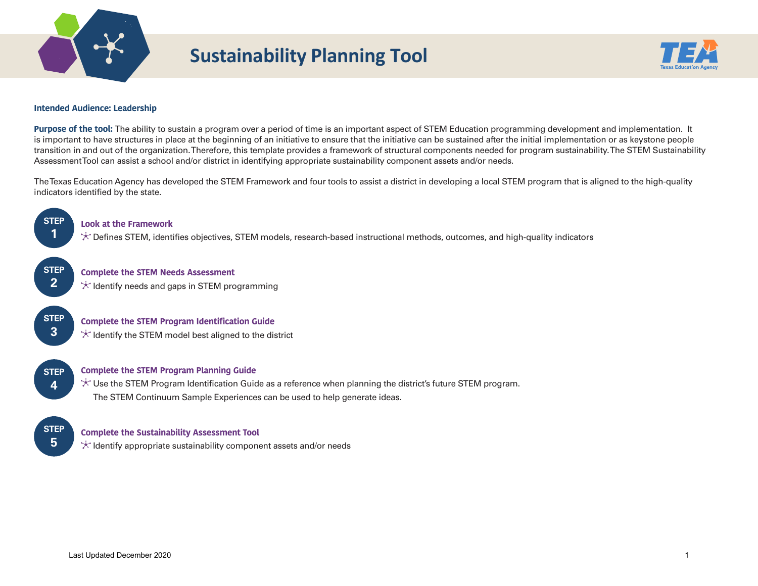

# **Sustainability Planning Tool**



## **Intended Audience: Leadership**

**Purpose of the tool:** The ability to sustain a program over a period of time is an important aspect of STEM Education programming development and implementation. It is important to have structures in place at the beginning of an initiative to ensure that the initiative can be sustained after the initial implementation or as keystone people transition in and out of the organization. Therefore, this template provides a framework of structural components needed for program sustainability. The STEM Sustainability Assessment Tool can assist a school and/or district in identifying appropriate sustainability component assets and/or needs.

 indicators identifed by the state. The Texas Education Agency has developed the STEM Framework and four tools to assist a district in developing a local STEM program that is aligned to the high-quality



## **Look at the Framework**

Defnes STEM, identifes objectives, STEM models, research-based instructional methods, outcomes, and high-quality indicators

**STEP 2** 

**Complete the STEM Needs Assessment**  $\star$  Identify needs and gaps in STEM programming

**STEP 3** 

**Complete the STEM Program Identification Guide**  $\star$  Identify the STEM model best aligned to the district

**STEP 4** 

# **Complete the STEM Program Planning Guide**

 Use the STEM Program Identifcation Guide as a reference when planning the district's future STEM program. The STEM Continuum Sample Experiences can be used to help generate ideas.

**STEP 5** 

# **Complete the Sustainability Assessment Tool**

 $\star$  Identify appropriate sustainability component assets and/or needs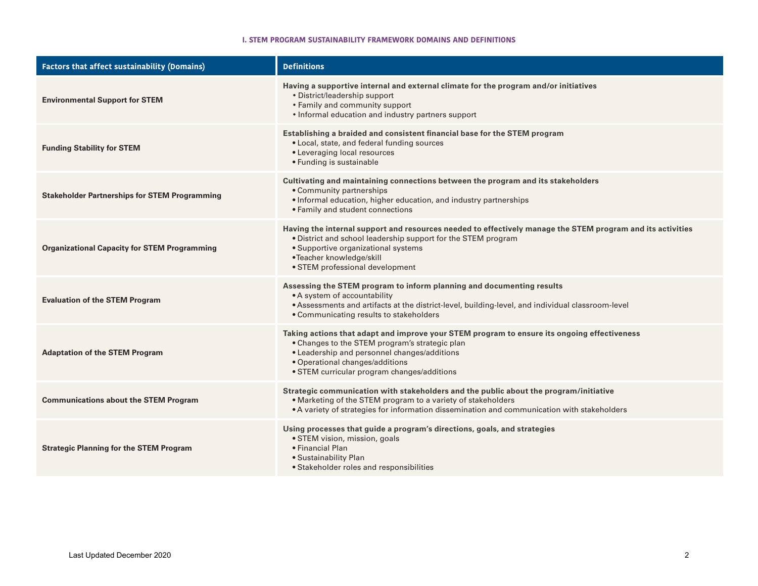## **I. STEM PROGRAM SUSTAINABILITY FRAMEWORK DOMAINS AND DEFINITIONS**

| <b>Factors that affect sustainability (Domains)</b>  | <b>Definitions</b>                                                                                                                                                                                                                                                                |
|------------------------------------------------------|-----------------------------------------------------------------------------------------------------------------------------------------------------------------------------------------------------------------------------------------------------------------------------------|
| <b>Environmental Support for STEM</b>                | Having a supportive internal and external climate for the program and/or initiatives<br>• District/leadership support<br>• Family and community support<br>• Informal education and industry partners support                                                                     |
| <b>Funding Stability for STEM</b>                    | Establishing a braided and consistent financial base for the STEM program<br>• Local, state, and federal funding sources<br>• Leveraging local resources<br>• Funding is sustainable                                                                                              |
| <b>Stakeholder Partnerships for STEM Programming</b> | Cultivating and maintaining connections between the program and its stakeholders<br>• Community partnerships<br>· Informal education, higher education, and industry partnerships<br>• Family and student connections                                                             |
| <b>Organizational Capacity for STEM Programming</b>  | Having the internal support and resources needed to effectively manage the STEM program and its activities<br>. District and school leadership support for the STEM program<br>• Supportive organizational systems<br>•Teacher knowledge/skill<br>• STEM professional development |
| <b>Evaluation of the STEM Program</b>                | Assessing the STEM program to inform planning and documenting results<br>• A system of accountability<br>. Assessments and artifacts at the district-level, building-level, and individual classroom-level<br>• Communicating results to stakeholders                             |
| <b>Adaptation of the STEM Program</b>                | Taking actions that adapt and improve your STEM program to ensure its ongoing effectiveness<br>• Changes to the STEM program's strategic plan<br>• Leadership and personnel changes/additions<br>• Operational changes/additions<br>• STEM curricular program changes/additions   |
| <b>Communications about the STEM Program</b>         | Strategic communication with stakeholders and the public about the program/initiative<br>. Marketing of the STEM program to a variety of stakeholders<br>• A variety of strategies for information dissemination and communication with stakeholders                              |
| <b>Strategic Planning for the STEM Program</b>       | Using processes that guide a program's directions, goals, and strategies<br>· STEM vision, mission, goals<br>• Financial Plan<br>• Sustainability Plan<br>• Stakeholder roles and responsibilities                                                                                |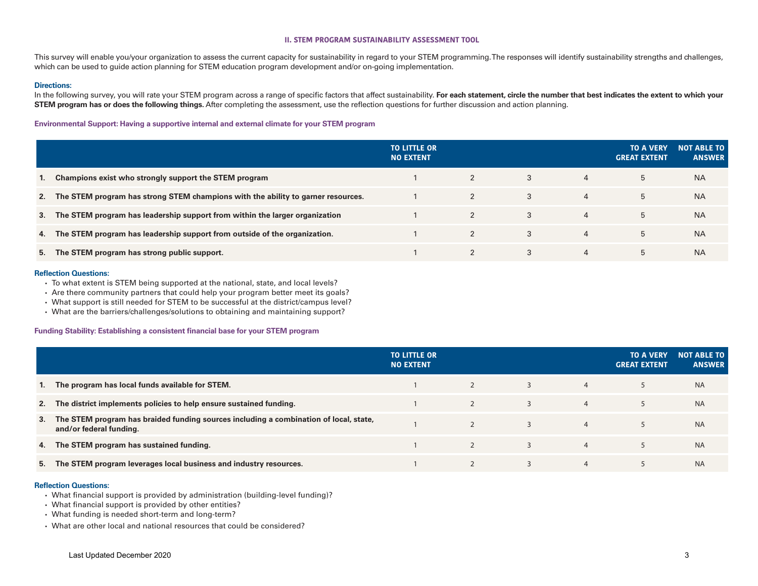#### **II. STEM PROGRAM SUSTAINABILITY ASSESSMENT TOOL**

This survey will enable you/your organization to assess the current capacity for sustainability in regard to your STEM programming. The responses will identify sustainability strengths and challenges, which can be used to guide action planning for STEM education program development and/or on-going implementation.

#### **Directions:**

In the following survey, you will rate your STEM program across a range of specific factors that affect sustainability. For each statement, circle the number that best indicates the extent to which your **STEM program has or does the following things.** After completing the assessment, use the reflection questions for further discussion and action planning.

## **Environmental Support: Having a supportive internal and external climate for your STEM program**

|    |                                                                                     | <b>TO LITTLE OR</b><br><b>NO EXTENT</b> |              |   |                | <b>TO A VERY</b><br><b>GREAT EXTENT</b> | <b>NOT ABLE TO</b><br><b>ANSWER</b> |
|----|-------------------------------------------------------------------------------------|-----------------------------------------|--------------|---|----------------|-----------------------------------------|-------------------------------------|
| 1. | Champions exist who strongly support the STEM program                               |                                         |              | 3 | 4              | 5                                       | <b>NA</b>                           |
|    | 2. The STEM program has strong STEM champions with the ability to garner resources. |                                         | $2^{\circ}$  | 3 | $\overline{4}$ | 5                                       | <b>NA</b>                           |
|    | 3. The STEM program has leadership support from within the larger organization      |                                         | $\mathbf{2}$ | 3 | $\overline{4}$ | 5                                       | <b>NA</b>                           |
| 4. | The STEM program has leadership support from outside of the organization.           |                                         |              | 3 | $\overline{4}$ | 5                                       | <b>NA</b>                           |
| 5. | The STEM program has strong public support.                                         |                                         |              | 3 | 4              | 5                                       | <b>NA</b>                           |

#### **Refection Questions:**

- To what extent is STEM being supported at the national, state, and local levels?
- Are there community partners that could help your program better meet its goals?
- What support is still needed for STEM to be successful at the district/campus level?
- What are the barriers/challenges/solutions to obtaining and maintaining support?

#### **Funding Stability: Establishing a consistent fnancial base for your STEM program**

|    |                                                                                                                     | <b>TO LITTLE OR</b><br><b>NO EXTENT</b> |   |                | <b>TO A VERY</b><br><b>GREAT EXTENT</b> | <b>NOT ABLE TO</b><br><b>ANSWER</b> |
|----|---------------------------------------------------------------------------------------------------------------------|-----------------------------------------|---|----------------|-----------------------------------------|-------------------------------------|
|    | 1. The program has local funds available for STEM.                                                                  |                                         | 3 | $\overline{4}$ | 5                                       | <b>NA</b>                           |
|    | 2. The district implements policies to help ensure sustained funding.                                               |                                         | 3 | $\overline{4}$ | 5                                       | <b>NA</b>                           |
|    | 3. The STEM program has braided funding sources including a combination of local, state,<br>and/or federal funding. |                                         | 3 | $\overline{4}$ | 5                                       | <b>NA</b>                           |
|    | 4. The STEM program has sustained funding.                                                                          |                                         | 3 | $\overline{4}$ | 5                                       | <b>NA</b>                           |
| 5. | The STEM program leverages local business and industry resources.                                                   |                                         | 3 | $\overline{4}$ |                                         | <b>NA</b>                           |

#### **Refection Questions:**

- What fnancial support is provided by administration (building-level funding)?
- What financial support is provided by other entities?
- What funding is needed short-term and long-term?
- What are other local and national resources that could be considered?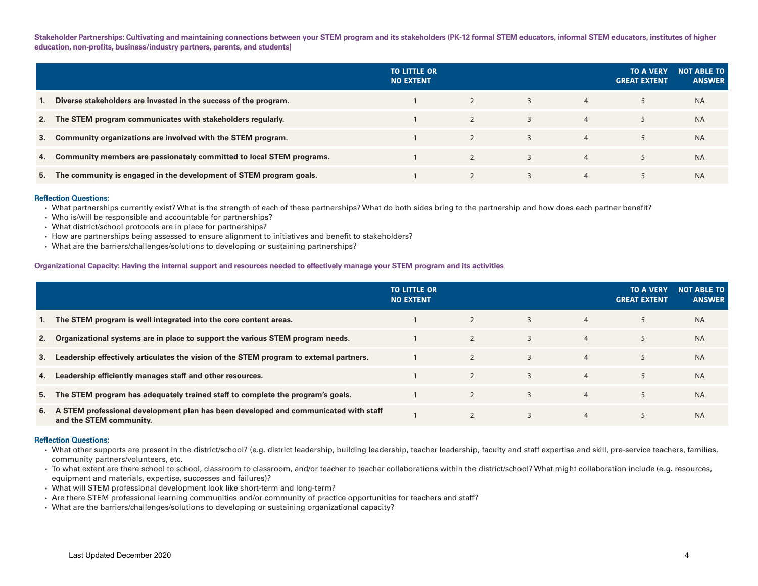**Stakeholder Partnerships: Cultivating and maintaining connections between your STEM program and its stakeholders (PK-12 formal STEM educators, informal STEM educators, institutes of higher**  education, non-profits, business/industry partners, parents, and students)

|    |                                                                      | <b>TO LITTLE OR</b><br><b>NO EXTENT</b> |   |                | <b>TO A VERY</b><br><b>GREAT EXTENT</b> | <b>NOT ABLE TO</b><br><b>ANSWER</b> |
|----|----------------------------------------------------------------------|-----------------------------------------|---|----------------|-----------------------------------------|-------------------------------------|
|    | Diverse stakeholders are invested in the success of the program.     |                                         | 3 | $\overline{4}$ |                                         | <b>NA</b>                           |
|    | 2. The STEM program communicates with stakeholders regularly.        |                                         | 3 | $\overline{4}$ |                                         | <b>NA</b>                           |
| 3. | Community organizations are involved with the STEM program.          |                                         | 3 | $\overline{4}$ |                                         | <b>NA</b>                           |
| 4. | Community members are passionately committed to local STEM programs. |                                         | 3 | $\overline{4}$ |                                         | <b>NA</b>                           |
| 5. | The community is engaged in the development of STEM program goals.   |                                         | 3 | $\overline{4}$ |                                         | <b>NA</b>                           |

#### **Refection Questions:**

• What partnerships currently exist? What is the strength of each of these partnerships? What do both sides bring to the partnership and how does each partner beneft?

- Who is/will be responsible and accountable for partnerships?
- What district/school protocols are in place for partnerships?
- How are partnerships being assessed to ensure alignment to initiatives and beneft to stakeholders?
- What are the barriers/challenges/solutions to developing or sustaining partnerships?

#### **Organizational Capacity: Having the internal support and resources needed to effectively manage your STEM program and its activities**

|    |                                                                                                                | <b>TO LITTLE OR</b><br><b>NO EXTENT</b> |   |                | <b>TO A VERY</b><br><b>GREAT EXTENT</b> | <b>NOT ABLE TO</b><br><b>ANSWER</b> |
|----|----------------------------------------------------------------------------------------------------------------|-----------------------------------------|---|----------------|-----------------------------------------|-------------------------------------|
|    | 1. The STEM program is well integrated into the core content areas.                                            |                                         | 3 | $\overline{4}$ | 5                                       | <b>NA</b>                           |
|    | 2. Organizational systems are in place to support the various STEM program needs.                              |                                         | 3 | $\overline{4}$ | 5                                       | <b>NA</b>                           |
| 3. | Leadership effectively articulates the vision of the STEM program to external partners.                        |                                         | 3 | $\overline{4}$ | 5                                       | <b>NA</b>                           |
| 4. | Leadership efficiently manages staff and other resources.                                                      |                                         | 3 | $\overline{4}$ | 5                                       | <b>NA</b>                           |
|    | 5. The STEM program has adequately trained staff to complete the program's goals.                              |                                         | 3 | $\overline{4}$ | 5                                       | <b>NA</b>                           |
| 6. | A STEM professional development plan has been developed and communicated with staff<br>and the STEM community. |                                         | 3 | $\overline{4}$ | 5                                       | <b>NA</b>                           |

#### **Refection Questions:**

- What other supports are present in the district/school? (e.g. district leadership, building leadership, teacher leadership, faculty and staff expertise and skill, pre-service teachers, families, community partners/volunteers, etc.
- To what extent are there school to school, classroom to classroom, and/or teacher to teacher collaborations within the district/school? What might collaboration include (e.g. resources, equipment and materials, expertise, successes and failures)?
- What will STEM professional development look like short-term and long-term?
- Are there STEM professional learning communities and/or community of practice opportunities for teachers and staff?
- What are the barriers/challenges/solutions to developing or sustaining organizational capacity?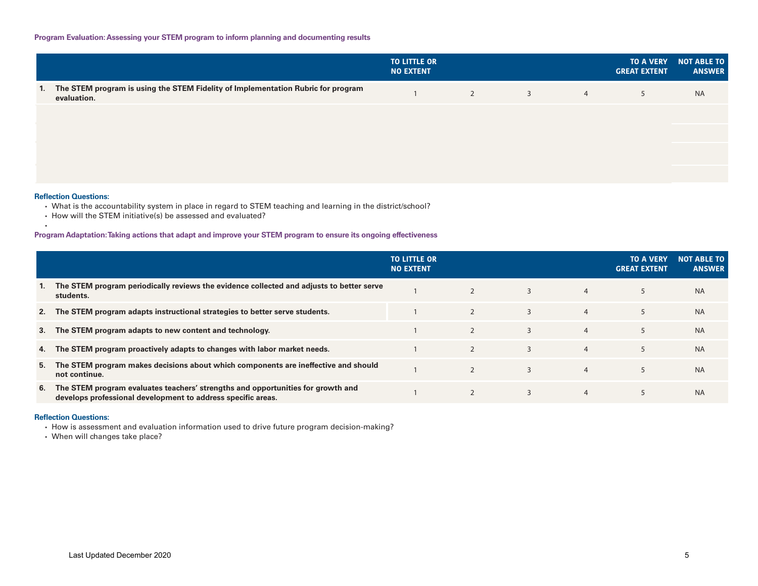|                                                                                                    | <b>TO LITTLE OR</b><br><b>NO EXTENT</b> |   |                |                | <b>TO A VERY</b><br><b>GREAT EXTENT</b> | <b>NOT ABLE TO</b><br><b>ANSWER</b> |
|----------------------------------------------------------------------------------------------------|-----------------------------------------|---|----------------|----------------|-----------------------------------------|-------------------------------------|
| 1. The STEM program is using the STEM Fidelity of Implementation Rubric for program<br>evaluation. |                                         | 2 | $\overline{3}$ | $\overline{4}$ | 5                                       | <b>NA</b>                           |
|                                                                                                    |                                         |   |                |                |                                         |                                     |
|                                                                                                    |                                         |   |                |                |                                         |                                     |
|                                                                                                    |                                         |   |                |                |                                         |                                     |
|                                                                                                    |                                         |   |                |                |                                         |                                     |

## **Refection Questions:**

•

- What is the accountability system in place in regard to STEM teaching and learning in the district/school?
- How will the STEM initiative(s) be assessed and evaluated?

## **Program Adaptation:Taking actions that adapt and improve your STEM program to ensure its ongoing effectiveness**

|    |                                                                                                                                                 | <b>TO LITTLE OR</b><br><b>NO EXTENT</b> |                |   |                | <b>TO A VERY</b><br><b>GREAT EXTENT</b> | <b>NOT ABLE TO</b><br><b>ANSWER</b> |
|----|-------------------------------------------------------------------------------------------------------------------------------------------------|-----------------------------------------|----------------|---|----------------|-----------------------------------------|-------------------------------------|
| 1. | The STEM program periodically reviews the evidence collected and adjusts to better serve<br>students.                                           |                                         | $\overline{2}$ | 3 | $\overline{4}$ | 5                                       | <b>NA</b>                           |
|    | 2. The STEM program adapts instructional strategies to better serve students.                                                                   |                                         |                | 3 | $\overline{4}$ | 5                                       | <b>NA</b>                           |
|    | 3. The STEM program adapts to new content and technology.                                                                                       |                                         | $\overline{2}$ | 3 | $\overline{4}$ | 5                                       | <b>NA</b>                           |
|    | 4. The STEM program proactively adapts to changes with labor market needs.                                                                      |                                         | $\overline{2}$ | 3 | $\overline{4}$ | 5                                       | <b>NA</b>                           |
| 5. | The STEM program makes decisions about which components are ineffective and should<br>not continue.                                             |                                         | $\mathcal{P}$  | 3 | $\overline{4}$ | 5                                       | <b>NA</b>                           |
| 6. | The STEM program evaluates teachers' strengths and opportunities for growth and<br>develops professional development to address specific areas. |                                         |                | 3 | $\overline{4}$ | 5                                       | <b>NA</b>                           |

#### **Refection Questions:**

• How is assessment and evaluation information used to drive future program decision-making?

• When will changes take place?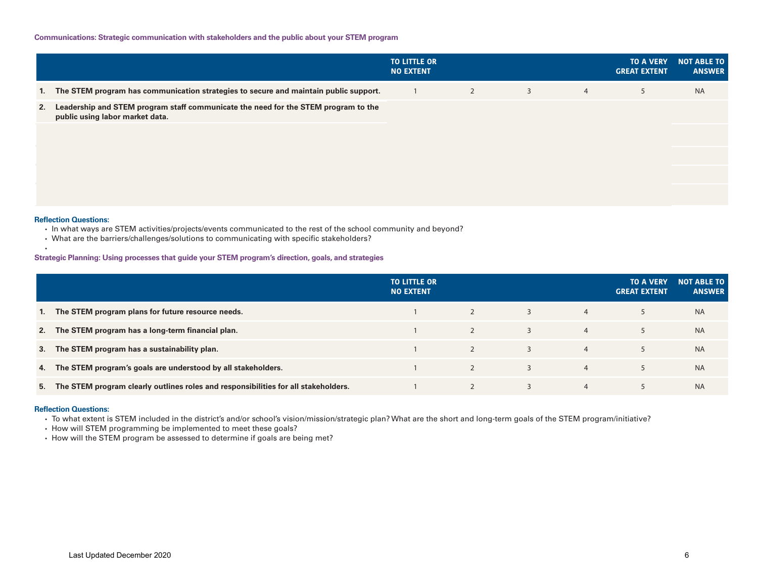|    |                                                                                                                       | <b>TO LITTLE OR</b><br><b>NO EXTENT</b> |                |                |                | <b>TO A VERY</b><br><b>GREAT EXTENT</b> | <b>NOT ABLE TO</b><br><b>ANSWER</b> |
|----|-----------------------------------------------------------------------------------------------------------------------|-----------------------------------------|----------------|----------------|----------------|-----------------------------------------|-------------------------------------|
|    | 1. The STEM program has communication strategies to secure and maintain public support.                               |                                         | $\overline{2}$ | $\overline{3}$ | $\overline{4}$ | 5                                       | <b>NA</b>                           |
| 2. | Leadership and STEM program staff communicate the need for the STEM program to the<br>public using labor market data. |                                         |                |                |                |                                         |                                     |

#### **Refection Questions:**

•

- In what ways are STEM activities/projects/events communicated to the rest of the school community and beyond?
- What are the barriers/challenges/solutions to communicating with specifc stakeholders?

## **Strategic Planning: Using processes that guide your STEM program's direction, goals, and strategies**

|    |                                                                                       | <b>TO LITTLE OR</b><br><b>NO EXTENT</b> |   |   |                | <b>TO A VERY</b><br><b>GREAT EXTENT</b> | <b>NOT ABLE TO</b><br><b>ANSWER</b> |
|----|---------------------------------------------------------------------------------------|-----------------------------------------|---|---|----------------|-----------------------------------------|-------------------------------------|
| 1. | The STEM program plans for future resource needs.                                     |                                         | 2 | 3 | $\overline{4}$ |                                         | <b>NA</b>                           |
|    | 2. The STEM program has a long-term financial plan.                                   |                                         | 2 | 3 | $\overline{4}$ |                                         | <b>NA</b>                           |
|    | 3. The STEM program has a sustainability plan.                                        |                                         | 2 | 3 | $\overline{4}$ | 5                                       | <b>NA</b>                           |
|    | 4. The STEM program's goals are understood by all stakeholders.                       |                                         |   |   | $\overline{4}$ | 5                                       | <b>NA</b>                           |
|    | 5. The STEM program clearly outlines roles and responsibilities for all stakeholders. |                                         |   |   | $\overline{4}$ |                                         | <b>NA</b>                           |

#### **Refection Questions:**

• To what extent is STEM included in the district's and/or school's vision/mission/strategic plan? What are the short and long-term goals of the STEM program/initiative?

• How will STEM programming be implemented to meet these goals?

• How will the STEM program be assessed to determine if goals are being met?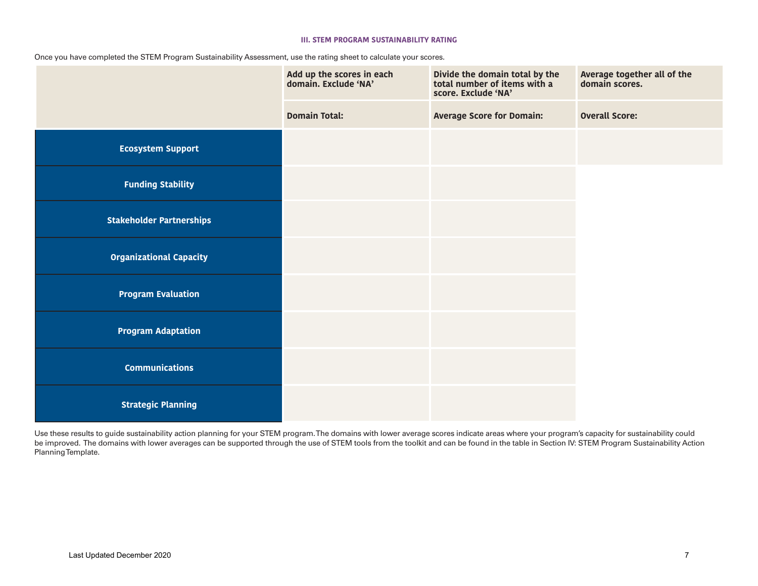## **III. STEM PROGRAM SUSTAINABILITY RATING**

Once you have completed the STEM Program Sustainability Assessment, use the rating sheet to calculate your scores.

|                                 | Add up the scores in each<br>domain. Exclude 'NA' | Divide the domain total by the<br>total number of items with a<br>score. Exclude 'NA' | Average together all of the<br>domain scores. |  |  |
|---------------------------------|---------------------------------------------------|---------------------------------------------------------------------------------------|-----------------------------------------------|--|--|
|                                 | <b>Domain Total:</b>                              | <b>Average Score for Domain:</b>                                                      | <b>Overall Score:</b>                         |  |  |
| <b>Ecosystem Support</b>        |                                                   |                                                                                       |                                               |  |  |
| <b>Funding Stability</b>        |                                                   |                                                                                       |                                               |  |  |
| <b>Stakeholder Partnerships</b> |                                                   |                                                                                       |                                               |  |  |
| <b>Organizational Capacity</b>  |                                                   |                                                                                       |                                               |  |  |
| <b>Program Evaluation</b>       |                                                   |                                                                                       |                                               |  |  |
| <b>Program Adaptation</b>       |                                                   |                                                                                       |                                               |  |  |
| <b>Communications</b>           |                                                   |                                                                                       |                                               |  |  |
| <b>Strategic Planning</b>       |                                                   |                                                                                       |                                               |  |  |

Use these results to guide sustainability action planning for your STEM program. The domains with lower average scores indicate areas where your program's capacity for sustainability could be improved. The domains with lower averages can be supported through the use of STEM tools from the toolkit and can be found in the table in Section IV: STEM Program Sustainability Action Planning Template.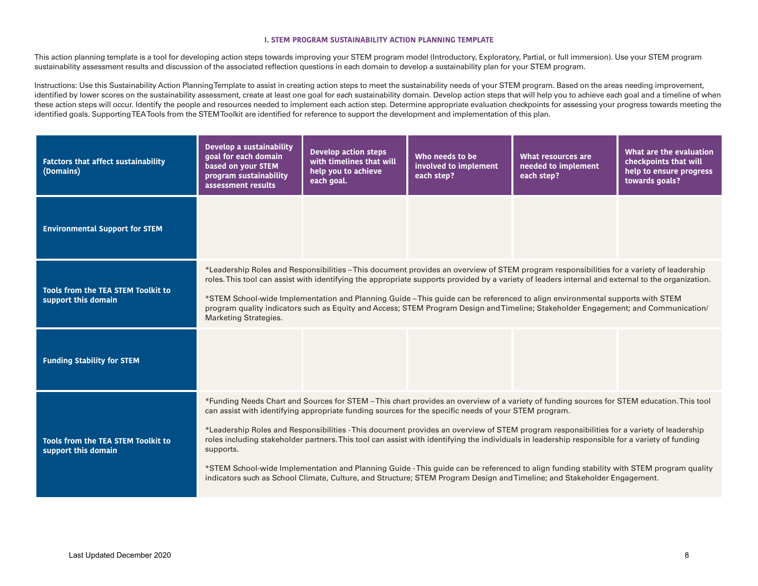#### **I. STEM PROGRAM SUSTAINABILITY ACTION PLANNING TEMPLATE**

This action planning template is a tool for developing action steps towards improving your STEM program model (Introductory, Exploratory, Partial, or full immersion). Use your STEM program sustainability assessment results and discussion of the associated refection questions in each domain to develop a sustainability plan for your STEM program.

Instructions: Use this Sustainability Action Planning Template to assist in creating action steps to meet the sustainability needs of your STEM program. Based on the areas needing improvement, identified by lower scores on the sustainability assessment, create at least one goal for each sustainability domain. Develop action steps that will help you to achieve each goal and a timeline of when these action steps will occur. Identify the people and resources needed to implement each action step. Determine appropriate evaluation checkpoints for assessing your progress towards meeting the identifed goals. Supporting TEA Tools from the STEM Toolkit are identifed for reference to support the development and implementation of this plan.

| <b>Fatctors that affect sustainability</b><br>(Domains)                                                                                                                                                                                                                                                                                                                                                                                                                                                                                                                                                                                                                                                                                                                                                                                                                                          | Develop a sustainability<br>goal for each domain<br>based on your STEM<br>program sustainability<br>assessment results                                                                                                                                                                                                                                                                                                                                                                                                                                                                              | <b>Develop action steps</b><br>with timelines that will<br>help you to achieve<br>each goal. | Who needs to be<br>involved to implement<br>each step? | What resources are<br>needed to implement<br>each step? | What are the evaluation<br>checkpoints that will<br>help to ensure progress<br>towards goals? |  |  |  |  |
|--------------------------------------------------------------------------------------------------------------------------------------------------------------------------------------------------------------------------------------------------------------------------------------------------------------------------------------------------------------------------------------------------------------------------------------------------------------------------------------------------------------------------------------------------------------------------------------------------------------------------------------------------------------------------------------------------------------------------------------------------------------------------------------------------------------------------------------------------------------------------------------------------|-----------------------------------------------------------------------------------------------------------------------------------------------------------------------------------------------------------------------------------------------------------------------------------------------------------------------------------------------------------------------------------------------------------------------------------------------------------------------------------------------------------------------------------------------------------------------------------------------------|----------------------------------------------------------------------------------------------|--------------------------------------------------------|---------------------------------------------------------|-----------------------------------------------------------------------------------------------|--|--|--|--|
| <b>Environmental Support for STEM</b>                                                                                                                                                                                                                                                                                                                                                                                                                                                                                                                                                                                                                                                                                                                                                                                                                                                            |                                                                                                                                                                                                                                                                                                                                                                                                                                                                                                                                                                                                     |                                                                                              |                                                        |                                                         |                                                                                               |  |  |  |  |
| Tools from the TEA STEM Toolkit to<br>support this domain                                                                                                                                                                                                                                                                                                                                                                                                                                                                                                                                                                                                                                                                                                                                                                                                                                        | *Leadership Roles and Responsibilities - This document provides an overview of STEM program responsibilities for a variety of leadership<br>roles. This tool can assist with identifying the appropriate supports provided by a variety of leaders internal and external to the organization.<br>*STEM School-wide Implementation and Planning Guide – This guide can be referenced to align environmental supports with STEM<br>program quality indicators such as Equity and Access; STEM Program Design and Timeline; Stakeholder Engagement; and Communication/<br><b>Marketing Strategies.</b> |                                                                                              |                                                        |                                                         |                                                                                               |  |  |  |  |
| <b>Funding Stability for STEM</b>                                                                                                                                                                                                                                                                                                                                                                                                                                                                                                                                                                                                                                                                                                                                                                                                                                                                |                                                                                                                                                                                                                                                                                                                                                                                                                                                                                                                                                                                                     |                                                                                              |                                                        |                                                         |                                                                                               |  |  |  |  |
| *Funding Needs Chart and Sources for STEM - This chart provides an overview of a variety of funding sources for STEM education. This tool<br>can assist with identifying appropriate funding sources for the specific needs of your STEM program.<br>*Leadership Roles and Responsibilities - This document provides an overview of STEM program responsibilities for a variety of leadership<br>roles including stakeholder partners. This tool can assist with identifying the individuals in leadership responsible for a variety of funding<br>Tools from the TEA STEM Toolkit to<br>support this domain<br>supports.<br>*STEM School-wide Implementation and Planning Guide - This guide can be referenced to align funding stability with STEM program quality<br>indicators such as School Climate, Culture, and Structure; STEM Program Design and Timeline; and Stakeholder Engagement. |                                                                                                                                                                                                                                                                                                                                                                                                                                                                                                                                                                                                     |                                                                                              |                                                        |                                                         |                                                                                               |  |  |  |  |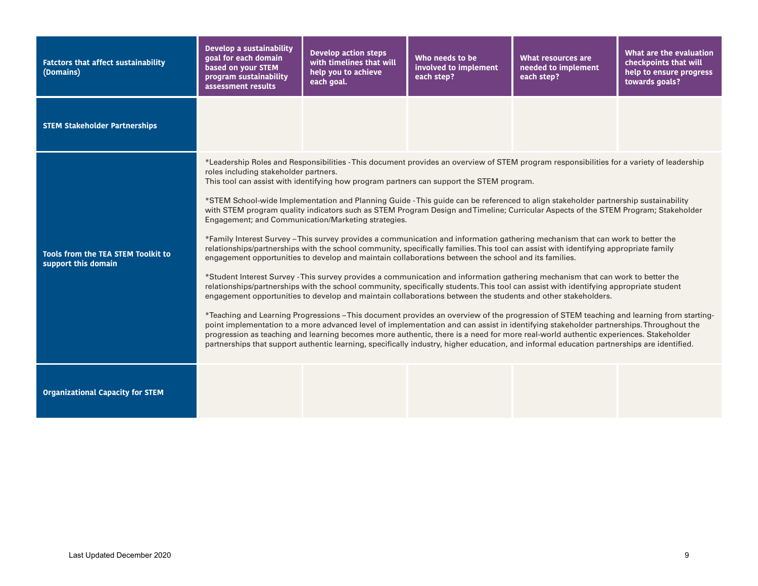| <b>Fatctors that affect sustainability</b><br>(Domains)          | Develop a sustainability<br>goal for each domain<br>based on your STEM<br>program sustainability<br>assessment results | <b>Develop action steps</b><br>with timelines that will<br>help you to achieve<br>each goal. | Who needs to be<br>involved to implement<br>each step?                                                                                                                                                                                                                                                                                                                                                                                                                                                                                                                                                                                                                                                                                                                                                                                                                                                                                                                                                                                                                                                                                                                                                                                                                                                                                                                                                                                                                                                                                                                                                                                                                                                                                                                                                                                                                    | <b>What resources are</b><br>needed to implement<br>each step? | What are the evaluation<br>checkpoints that will<br>help to ensure progress<br>towards goals? |
|------------------------------------------------------------------|------------------------------------------------------------------------------------------------------------------------|----------------------------------------------------------------------------------------------|---------------------------------------------------------------------------------------------------------------------------------------------------------------------------------------------------------------------------------------------------------------------------------------------------------------------------------------------------------------------------------------------------------------------------------------------------------------------------------------------------------------------------------------------------------------------------------------------------------------------------------------------------------------------------------------------------------------------------------------------------------------------------------------------------------------------------------------------------------------------------------------------------------------------------------------------------------------------------------------------------------------------------------------------------------------------------------------------------------------------------------------------------------------------------------------------------------------------------------------------------------------------------------------------------------------------------------------------------------------------------------------------------------------------------------------------------------------------------------------------------------------------------------------------------------------------------------------------------------------------------------------------------------------------------------------------------------------------------------------------------------------------------------------------------------------------------------------------------------------------------|----------------------------------------------------------------|-----------------------------------------------------------------------------------------------|
| <b>STEM Stakeholder Partnerships</b>                             |                                                                                                                        |                                                                                              |                                                                                                                                                                                                                                                                                                                                                                                                                                                                                                                                                                                                                                                                                                                                                                                                                                                                                                                                                                                                                                                                                                                                                                                                                                                                                                                                                                                                                                                                                                                                                                                                                                                                                                                                                                                                                                                                           |                                                                |                                                                                               |
| <b>Tools from the TEA STEM Toolkit to</b><br>support this domain | roles including stakeholder partners.                                                                                  | Engagement; and Communication/Marketing strategies.                                          | *Leadership Roles and Responsibilities - This document provides an overview of STEM program responsibilities for a variety of leadership<br>This tool can assist with identifying how program partners can support the STEM program.<br>*STEM School-wide Implementation and Planning Guide -This guide can be referenced to align stakeholder partnership sustainability<br>with STEM program quality indicators such as STEM Program Design and Timeline; Curricular Aspects of the STEM Program; Stakeholder<br>*Family Interest Survey – This survey provides a communication and information gathering mechanism that can work to better the<br>relationships/partnerships with the school community, specifically families. This tool can assist with identifying appropriate family<br>engagement opportunities to develop and maintain collaborations between the school and its families.<br>*Student Interest Survey - This survey provides a communication and information gathering mechanism that can work to better the<br>relationships/partnerships with the school community, specifically students. This tool can assist with identifying appropriate student<br>engagement opportunities to develop and maintain collaborations between the students and other stakeholders.<br>*Teaching and Learning Progressions –This document provides an overview of the progression of STEM teaching and learning from starting-<br>point implementation to a more advanced level of implementation and can assist in identifying stakeholder partnerships. Throughout the<br>progression as teaching and learning becomes more authentic, there is a need for more real-world authentic experiences. Stakeholder<br>partnerships that support authentic learning, specifically industry, higher education, and informal education partnerships are identified. |                                                                |                                                                                               |
| <b>Organizational Capacity for STEM</b>                          |                                                                                                                        |                                                                                              |                                                                                                                                                                                                                                                                                                                                                                                                                                                                                                                                                                                                                                                                                                                                                                                                                                                                                                                                                                                                                                                                                                                                                                                                                                                                                                                                                                                                                                                                                                                                                                                                                                                                                                                                                                                                                                                                           |                                                                |                                                                                               |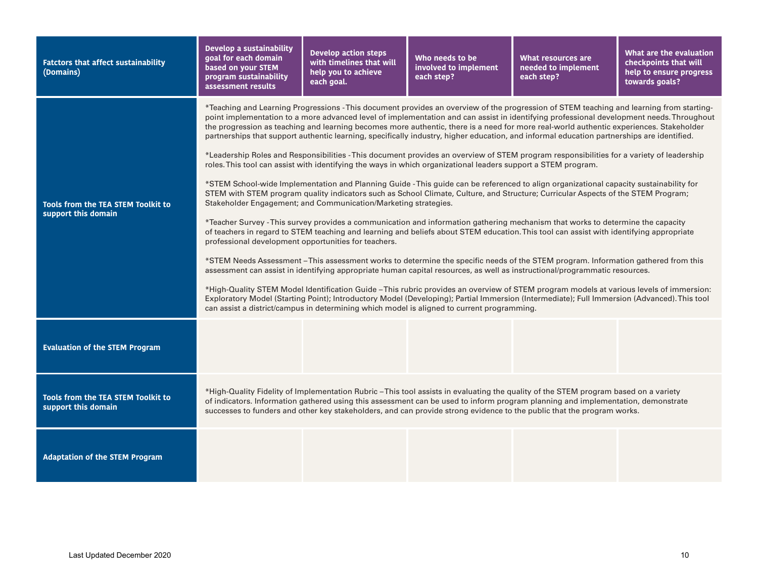| <b>Fatctors that affect sustainability</b><br>(Domains)          | Develop a sustainability<br>goal for each domain<br>based on your STEM<br>program sustainability<br>assessment results                                                                                                                                                                                                                                                                                                                                                                                                                                                                                                                                                                                                                                                                                                                                                                                                                                                                                                                                                                                                                                                                                                                                                                                                                                                                                                                                                                                                                                                                                                                                                                                                                                                                                                                                                                                                                                                                                                                                                                                                                                                                      | <b>Develop action steps</b><br>with timelines that will<br>help you to achieve<br>each goal. | Who needs to be<br>involved to implement<br>each step? | What resources are<br>needed to implement<br>each step? | What are the evaluation<br>checkpoints that will<br>help to ensure progress<br>towards goals? |  |  |  |
|------------------------------------------------------------------|---------------------------------------------------------------------------------------------------------------------------------------------------------------------------------------------------------------------------------------------------------------------------------------------------------------------------------------------------------------------------------------------------------------------------------------------------------------------------------------------------------------------------------------------------------------------------------------------------------------------------------------------------------------------------------------------------------------------------------------------------------------------------------------------------------------------------------------------------------------------------------------------------------------------------------------------------------------------------------------------------------------------------------------------------------------------------------------------------------------------------------------------------------------------------------------------------------------------------------------------------------------------------------------------------------------------------------------------------------------------------------------------------------------------------------------------------------------------------------------------------------------------------------------------------------------------------------------------------------------------------------------------------------------------------------------------------------------------------------------------------------------------------------------------------------------------------------------------------------------------------------------------------------------------------------------------------------------------------------------------------------------------------------------------------------------------------------------------------------------------------------------------------------------------------------------------|----------------------------------------------------------------------------------------------|--------------------------------------------------------|---------------------------------------------------------|-----------------------------------------------------------------------------------------------|--|--|--|
| <b>Tools from the TEA STEM Toolkit to</b><br>support this domain | *Teaching and Learning Progressions - This document provides an overview of the progression of STEM teaching and learning from starting-<br>point implementation to a more advanced level of implementation and can assist in identifying professional development needs. Throughout<br>the progression as teaching and learning becomes more authentic, there is a need for more real-world authentic experiences. Stakeholder<br>partnerships that support authentic learning, specifically industry, higher education, and informal education partnerships are identified.<br>*Leadership Roles and Responsibilities - This document provides an overview of STEM program responsibilities for a variety of leadership<br>roles. This tool can assist with identifying the ways in which organizational leaders support a STEM program.<br>*STEM School-wide Implementation and Planning Guide - This guide can be referenced to align organizational capacity sustainability for<br>STEM with STEM program quality indicators such as School Climate, Culture, and Structure; Curricular Aspects of the STEM Program;<br>Stakeholder Engagement; and Communication/Marketing strategies.<br>*Teacher Survey - This survey provides a communication and information gathering mechanism that works to determine the capacity<br>of teachers in regard to STEM teaching and learning and beliefs about STEM education. This tool can assist with identifying appropriate<br>professional development opportunities for teachers.<br>*STEM Needs Assessment-This assessment works to determine the specific needs of the STEM program. Information gathered from this<br>assessment can assist in identifying appropriate human capital resources, as well as instructional/programmatic resources.<br>*High-Quality STEM Model Identification Guide –This rubric provides an overview of STEM program models at various levels of immersion:<br>Exploratory Model (Starting Point); Introductory Model (Developing); Partial Immersion (Intermediate); Full Immersion (Advanced). This tool<br>can assist a district/campus in determining which model is aligned to current programming. |                                                                                              |                                                        |                                                         |                                                                                               |  |  |  |
| <b>Evaluation of the STEM Program</b>                            |                                                                                                                                                                                                                                                                                                                                                                                                                                                                                                                                                                                                                                                                                                                                                                                                                                                                                                                                                                                                                                                                                                                                                                                                                                                                                                                                                                                                                                                                                                                                                                                                                                                                                                                                                                                                                                                                                                                                                                                                                                                                                                                                                                                             |                                                                                              |                                                        |                                                         |                                                                                               |  |  |  |
| <b>Tools from the TEA STEM Toolkit to</b><br>support this domain | *High-Quality Fidelity of Implementation Rubric – This tool assists in evaluating the quality of the STEM program based on a variety<br>of indicators. Information gathered using this assessment can be used to inform program planning and implementation, demonstrate<br>successes to funders and other key stakeholders, and can provide strong evidence to the public that the program works.                                                                                                                                                                                                                                                                                                                                                                                                                                                                                                                                                                                                                                                                                                                                                                                                                                                                                                                                                                                                                                                                                                                                                                                                                                                                                                                                                                                                                                                                                                                                                                                                                                                                                                                                                                                          |                                                                                              |                                                        |                                                         |                                                                                               |  |  |  |
| <b>Adaptation of the STEM Program</b>                            |                                                                                                                                                                                                                                                                                                                                                                                                                                                                                                                                                                                                                                                                                                                                                                                                                                                                                                                                                                                                                                                                                                                                                                                                                                                                                                                                                                                                                                                                                                                                                                                                                                                                                                                                                                                                                                                                                                                                                                                                                                                                                                                                                                                             |                                                                                              |                                                        |                                                         |                                                                                               |  |  |  |